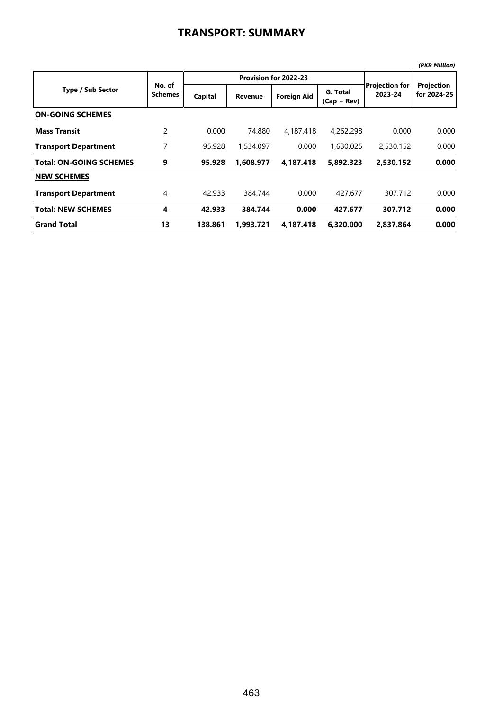|                                |                          |         |                       |                    |                           |                                  | (PKR Million)             |
|--------------------------------|--------------------------|---------|-----------------------|--------------------|---------------------------|----------------------------------|---------------------------|
| <b>Type / Sub Sector</b>       | No. of<br><b>Schemes</b> |         | Provision for 2022-23 |                    |                           |                                  |                           |
|                                |                          | Capital | <b>Revenue</b>        | <b>Foreign Aid</b> | G. Total<br>$(Cap + Rev)$ | <b>Projection for</b><br>2023-24 | Projection<br>for 2024-25 |
| <b>ON-GOING SCHEMES</b>        |                          |         |                       |                    |                           |                                  |                           |
| <b>Mass Transit</b>            | $\overline{c}$           | 0.000   | 74.880                | 4,187.418          | 4,262,298                 | 0.000                            | 0.000                     |
| <b>Transport Department</b>    | 7                        | 95.928  | 1,534.097             | 0.000              | 1,630,025                 | 2,530.152                        | 0.000                     |
| <b>Total: ON-GOING SCHEMES</b> | 9                        | 95.928  | 1,608.977             | 4,187.418          | 5,892.323                 | 2,530.152                        | 0.000                     |
| <b>NEW SCHEMES</b>             |                          |         |                       |                    |                           |                                  |                           |
| <b>Transport Department</b>    | 4                        | 42.933  | 384.744               | 0.000              | 427.677                   | 307.712                          | 0.000                     |
| <b>Total: NEW SCHEMES</b>      | 4                        | 42.933  | 384.744               | 0.000              | 427.677                   | 307.712                          | 0.000                     |
| <b>Grand Total</b>             | 13                       | 138.861 | 1.993.721             | 4.187.418          | 6.320.000                 | 2.837.864                        | 0.000                     |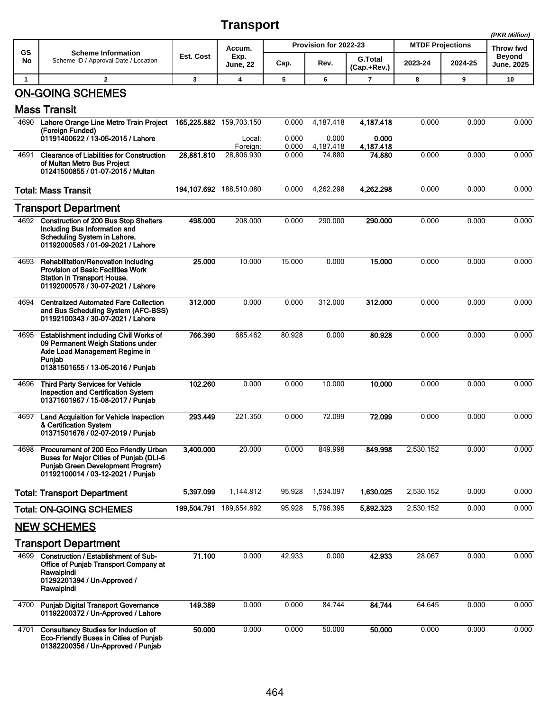## **Transport**

|              |                                                                                                                                                              |             |                           |                       |                    |                               |                         |         | (PKR Million)                      |
|--------------|--------------------------------------------------------------------------------------------------------------------------------------------------------------|-------------|---------------------------|-----------------------|--------------------|-------------------------------|-------------------------|---------|------------------------------------|
| GS           | <b>Scheme Information</b>                                                                                                                                    |             | Accum.                    | Provision for 2022-23 |                    |                               | <b>MTDF Projections</b> |         | Throw fwd                          |
| No           | Scheme ID / Approval Date / Location                                                                                                                         | Est. Cost   | Exp.<br>June, 22          | Cap.                  | Rev.               | <b>G.Total</b><br>(Cap.+Rev.) | 2023-24                 | 2024-25 | <b>Beyond</b><br><b>June, 2025</b> |
| $\mathbf{1}$ | $\mathbf{2}$                                                                                                                                                 | 3           | 4                         | 5                     | 6                  | $\overline{7}$                | 8                       | 9       | 10                                 |
|              | <b>ON-GOING SCHEMES</b>                                                                                                                                      |             |                           |                       |                    |                               |                         |         |                                    |
|              | <b>Mass Transit</b>                                                                                                                                          |             |                           |                       |                    |                               |                         |         |                                    |
| 4690         | Lahore Orange Line Metro Train Project<br>(Foreign Funded)                                                                                                   |             | 165,225.882 159,703.150   | 0.000                 | 4,187.418          | 4,187.418                     | 0.000                   | 0.000   | 0.000                              |
|              | 01191400622 / 13-05-2015 / Lahore                                                                                                                            |             | Local:<br>Foreign:        | 0.000<br>0.000        | 0.000<br>4,187.418 | 0.000<br>4,187.418            |                         |         |                                    |
| 4691         | <b>Clearance of Liabilities for Construction</b><br>of Multan Metro Bus Project<br>01241500855 / 01-07-2015 / Multan                                         | 28,881.810  | 28,806.930                | 0.000                 | 74.880             | 74.880                        | 0.000                   | 0.000   | 0.000                              |
|              | <b>Total: Mass Transit</b>                                                                                                                                   |             | 194, 107.692 188, 510.080 | 0.000                 | 4,262.298          | 4,262.298                     | 0.000                   | 0.000   | 0.000                              |
|              | <b>Transport Department</b>                                                                                                                                  |             |                           |                       |                    |                               |                         |         |                                    |
| 4692         | <b>Construction of 200 Bus Stop Shelters</b><br>Including Bus Information and<br>Scheduling System in Lahore.<br>01192000563 / 01-09-2021 / Lahore           | 498.000     | 208.000                   | 0.000                 | 290.000            | 290.000                       | 0.000                   | 0.000   | 0.000                              |
| 4693         | Rehabilitation/Renovation including<br><b>Provision of Basic Facilities Work</b><br>Station in Transport House.<br>01192000578 / 30-07-2021 / Lahore         | 25.000      | 10.000                    | 15.000                | 0.000              | 15.000                        | 0.000                   | 0.000   | 0.000                              |
| 4694         | <b>Centralized Automated Fare Collection</b><br>and Bus Scheduling System (AFC-BSS)<br>01192100343 / 30-07-2021 / Lahore                                     | 312.000     | 0.000                     | 0.000                 | 312.000            | 312.000                       | 0.000                   | 0.000   | 0.000                              |
| 4695         | Establishment including Civil Works of<br>09 Permanent Weigh Stations under<br>Axle Load Management Regime in<br>Punjab<br>01381501655 / 13-05-2016 / Punjab | 766.390     | 685.462                   | 80.928                | 0.000              | 80.928                        | 0.000                   | 0.000   | 0.000                              |
| 4696         | <b>Third Party Services for Vehicle</b><br><b>Inspection and Certification System</b><br>01371601967 / 15-08-2017 / Punjab                                   | 102.260     | 0.000                     | 0.000                 | 10.000             | 10.000                        | 0.000                   | 0.000   | 0.000                              |
| 4697         | Land Acquisition for Vehicle Inspection<br>& Certification System<br>01371501676 / 02-07-2019 / Punjab                                                       | 293 449     | 221.350                   | 0.000                 | 72.099             | 72.099                        | 0.000                   | 0.000   | 0.000                              |
| 4698         | Procurement of 200 Eco Friendly Urban<br>Buses for Major Cities of Punjab (DLI-6<br>Punjab Green Development Program)<br>01192100014 / 03-12-2021 / Punjab   | 3,400.000   | 20.000                    | 0.000                 | 849.998            | 849.998                       | 2,530.152               | 0.000   | 0.000                              |
|              | <b>Total: Transport Department</b>                                                                                                                           | 5,397.099   | 1,144.812                 | 95.928                | 1,534.097          | 1.630.025                     | 2,530.152               | 0.000   | 0.000                              |
|              | <b>Total: ON-GOING SCHEMES</b>                                                                                                                               | 199,504.791 | 189,654.892               | 95.928                | 5,796.395          | 5.892.323                     | 2,530.152               | 0.000   | 0.000                              |
|              | <b>NEW SCHEMES</b>                                                                                                                                           |             |                           |                       |                    |                               |                         |         |                                    |
|              | <b>Transport Department</b>                                                                                                                                  |             |                           |                       |                    |                               |                         |         |                                    |
| 4699         | <b>Construction / Establishment of Sub-</b><br>Office of Punjab Transport Company at<br>Rawalpindi<br>01292201394 / Un-Approved /<br>Rawalpindi              | 71.100      | 0.000                     | 42.933                | 0.000              | 42.933                        | 28.067                  | 0.000   | 0.000                              |
| 4700         | <b>Punjab Digital Transport Governance</b><br>01192200372 / Un-Approved / Lahore                                                                             | 149.389     | 0.000                     | 0.000                 | 84.744             | 84.744                        | 64.645                  | 0.000   | 0.000                              |
| 4701         | <b>Consultancy Studies for Induction of</b><br><b>Eco-Friendly Buses in Cities of Punjab</b><br>01382200356 / Un-Approved / Punjab                           | 50.000      | 0.000                     | 0.000                 | 50.000             | 50.000                        | 0.000                   | 0.000   | 0.000                              |